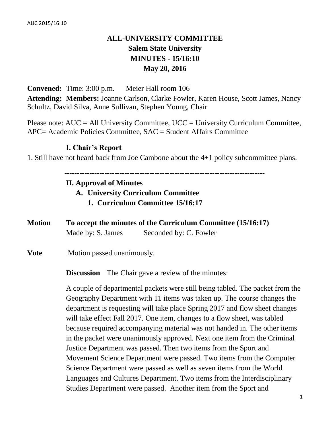# **ALL-UNIVERSITY COMMITTEE Salem State University MINUTES - 15/16:10 May 20, 2016**

**Convened:** Time: 3:00 p.m. Meier Hall room 106 **Attending: Members:** Joanne Carlson, Clarke Fowler, Karen House, Scott James, Nancy Schultz, David Silva, Anne Sullivan, Stephen Young, Chair

Please note:  $AUC = All University Committee$ ,  $UCC = University Curricular Computer$ , APC= Academic Policies Committee, SAC = Student Affairs Committee

### **I. Chair's Report**

1. Still have not heard back from Joe Cambone about the 4+1 policy subcommittee plans.

--------------------------------------------------------------------------------

#### **II. Approval of Minutes**

**A. University Curriculum Committee**

- **1. Curriculum Committee 15/16:17**
- **Motion To accept the minutes of the Curriculum Committee (15/16:17)** Made by: S. James Seconded by: C. Fowler

**Vote** Motion passed unanimously.

**Discussion** The Chair gave a review of the minutes:

A couple of departmental packets were still being tabled. The packet from the Geography Department with 11 items was taken up. The course changes the department is requesting will take place Spring 2017 and flow sheet changes will take effect Fall 2017. One item, changes to a flow sheet, was tabled because required accompanying material was not handed in. The other items in the packet were unanimously approved. Next one item from the Criminal Justice Department was passed. Then two items from the Sport and Movement Science Department were passed. Two items from the Computer Science Department were passed as well as seven items from the World Languages and Cultures Department. Two items from the Interdisciplinary Studies Department were passed. Another item from the Sport and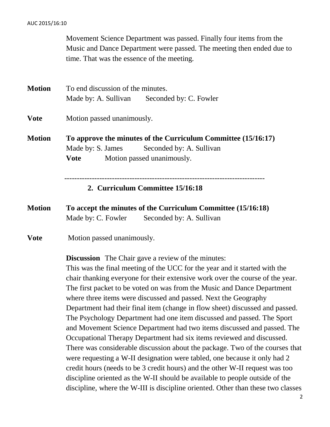#### AUC 2015/16:10

Movement Science Department was passed. Finally four items from the Music and Dance Department were passed. The meeting then ended due to time. That was the essence of the meeting.

**Motion** To end discussion of the minutes. Made by: A. Sullivan Seconded by: C. Fowler **Vote** Motion passed unanimously. **Motion To approve the minutes of the Curriculum Committee (15/16:17)** Made by: S. James Seconded by: A. Sullivan **Vote** Motion passed unanimously. -------------------------------------------------------------------------------- **2. Curriculum Committee 15/16:18**

**Motion To accept the minutes of the Curriculum Committee (15/16:18)** Made by: C. Fowler Seconded by: A. Sullivan

**Vote** Motion passed unanimously.

**Discussion** The Chair gave a review of the minutes:

This was the final meeting of the UCC for the year and it started with the chair thanking everyone for their extensive work over the course of the year. The first packet to be voted on was from the Music and Dance Department where three items were discussed and passed. Next the Geography Department had their final item (change in flow sheet) discussed and passed. The Psychology Department had one item discussed and passed. The Sport and Movement Science Department had two items discussed and passed. The Occupational Therapy Department had six items reviewed and discussed. There was considerable discussion about the package. Two of the courses that were requesting a W-II designation were tabled, one because it only had 2 credit hours (needs to be 3 credit hours) and the other W-II request was too discipline oriented as the W-II should be available to people outside of the discipline, where the W-III is discipline oriented. Other than these two classes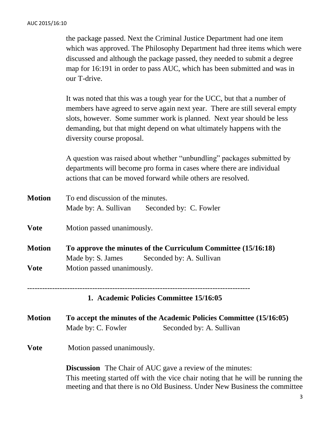the package passed. Next the Criminal Justice Department had one item which was approved. The Philosophy Department had three items which were discussed and although the package passed, they needed to submit a degree map for 16:191 in order to pass AUC, which has been submitted and was in our T-drive.

It was noted that this was a tough year for the UCC, but that a number of members have agreed to serve again next year. There are still several empty slots, however. Some summer work is planned. Next year should be less demanding, but that might depend on what ultimately happens with the diversity course proposal.

A question was raised about whether "unbundling" packages submitted by departments will become pro forma in cases where there are individual actions that can be moved forward while others are resolved.

| <b>Motion</b> | To end discussion of the minutes.                                   |                                             |  |  |
|---------------|---------------------------------------------------------------------|---------------------------------------------|--|--|
|               |                                                                     | Made by: A. Sullivan Seconded by: C. Fowler |  |  |
| <b>Vote</b>   | Motion passed unanimously.                                          |                                             |  |  |
| <b>Motion</b> | To approve the minutes of the Curriculum Committee (15/16:18)       |                                             |  |  |
|               |                                                                     | Made by: S. James Seconded by: A. Sullivan  |  |  |
| <b>Vote</b>   | Motion passed unanimously.                                          |                                             |  |  |
|               |                                                                     | 1. Academic Policies Committee 15/16:05     |  |  |
| <b>Motion</b> | To accept the minutes of the Academic Policies Committee (15/16:05) |                                             |  |  |
|               | Made by: C. Fowler                                                  | Seconded by: A. Sullivan                    |  |  |
| <b>Vote</b>   | Motion passed unanimously.                                          |                                             |  |  |
|               | <b>Discussion</b> The Chair of AUC gave a review of the minutes:    |                                             |  |  |

This meeting started off with the vice chair noting that he will be running the meeting and that there is no Old Business. Under New Business the committee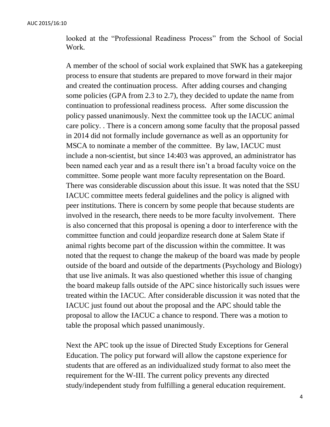looked at the "Professional Readiness Process" from the School of Social Work.

A member of the school of social work explained that SWK has a gatekeeping process to ensure that students are prepared to move forward in their major and created the continuation process. After adding courses and changing some policies (GPA from 2.3 to 2.7), they decided to update the name from continuation to professional readiness process. After some discussion the policy passed unanimously. Next the committee took up the IACUC animal care policy. . There is a concern among some faculty that the proposal passed in 2014 did not formally include governance as well as an opportunity for MSCA to nominate a member of the committee. By law, IACUC must include a non-scientist, but since 14:403 was approved, an administrator has been named each year and as a result there isn't a broad faculty voice on the committee. Some people want more faculty representation on the Board. There was considerable discussion about this issue. It was noted that the SSU IACUC committee meets federal guidelines and the policy is aligned with peer institutions. There is concern by some people that because students are involved in the research, there needs to be more faculty involvement. There is also concerned that this proposal is opening a door to interference with the committee function and could jeopardize research done at Salem State if animal rights become part of the discussion within the committee. It was noted that the request to change the makeup of the board was made by people outside of the board and outside of the departments (Psychology and Biology) that use live animals. It was also questioned whether this issue of changing the board makeup falls outside of the APC since historically such issues were treated within the IACUC. After considerable discussion it was noted that the IACUC just found out about the proposal and the APC should table the proposal to allow the IACUC a chance to respond. There was a motion to table the proposal which passed unanimously.

Next the APC took up the issue of Directed Study Exceptions for General Education. The policy put forward will allow the capstone experience for students that are offered as an individualized study format to also meet the requirement for the W-III. The current policy prevents any directed study/independent study from fulfilling a general education requirement.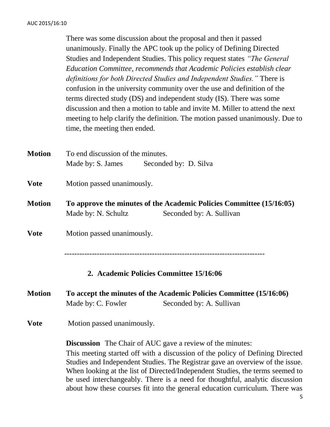There was some discussion about the proposal and then it passed unanimously. Finally the APC took up the policy of Defining Directed Studies and Independent Studies. This policy request states *"The General Education Committee, recommends that Academic Policies establish clear definitions for both Directed Studies and Independent Studies."* There is confusion in the university community over the use and definition of the terms directed study (DS) and independent study (IS). There was some discussion and then a motion to table and invite M. Miller to attend the next meeting to help clarify the definition. The motion passed unanimously. Due to time, the meeting then ended.

**Motion** To end discussion of the minutes. Made by: S. James Seconded by: D. Silva **Vote** Motion passed unanimously. **Motion To approve the minutes of the Academic Policies Committee (15/16:05)**  Made by: N. Schultz Seconded by: A. Sullivan **Vote** Motion passed unanimously. -------------------------------------------------------------------------------- **2. Academic Policies Committee 15/16:06 Motion To accept the minutes of the Academic Policies Committee (15/16:06)** Made by: C. Fowler Seconded by: A. Sullivan **Vote** Motion passed unanimously. **Discussion** The Chair of AUC gave a review of the minutes: This meeting started off with a discussion of the policy of Defining Directed Studies and Independent Studies. The Registrar gave an overview of the issue.

When looking at the list of Directed/Independent Studies, the terms seemed to be used interchangeably. There is a need for thoughtful, analytic discussion about how these courses fit into the general education curriculum. There was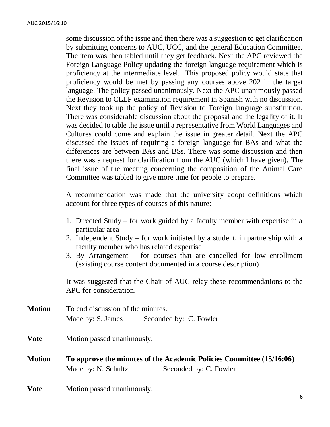some discussion of the issue and then there was a suggestion to get clarification by submitting concerns to AUC, UCC, and the general Education Committee. The item was then tabled until they get feedback. Next the APC reviewed the Foreign Language Policy updating the foreign language requirement which is proficiency at the intermediate level. This proposed policy would state that proficiency would be met by passing any courses above 202 in the target language. The policy passed unanimously. Next the APC unanimously passed the Revision to CLEP examination requirement in Spanish with no discussion. Next they took up the policy of Revision to Foreign language substitution. There was considerable discussion about the proposal and the legality of it. It was decided to table the issue until a representative from World Languages and Cultures could come and explain the issue in greater detail. Next the APC discussed the issues of requiring a foreign language for BAs and what the differences are between BAs and BSs. There was some discussion and then there was a request for clarification from the AUC (which I have given). The final issue of the meeting concerning the composition of the Animal Care Committee was tabled to give more time for people to prepare.

A recommendation was made that the university adopt definitions which account for three types of courses of this nature:

- 1. Directed Study for work guided by a faculty member with expertise in a particular area
- 2. Independent Study for work initiated by a student, in partnership with a faculty member who has related expertise
- 3. By Arrangement for courses that are cancelled for low enrollment (existing course content documented in a course description)

It was suggested that the Chair of AUC relay these recommendations to the APC for consideration.

| <b>Motion</b> | To end discussion of the minutes.                                    |                        |  |  |
|---------------|----------------------------------------------------------------------|------------------------|--|--|
|               | Made by: S. James                                                    | Seconded by: C. Fowler |  |  |
| <b>Vote</b>   | Motion passed unanimously.                                           |                        |  |  |
| <b>Motion</b> | To approve the minutes of the Academic Policies Committee (15/16:06) |                        |  |  |
|               | Made by: N. Schultz                                                  | Seconded by: C. Fowler |  |  |
|               |                                                                      |                        |  |  |

**Vote** Motion passed unanimously.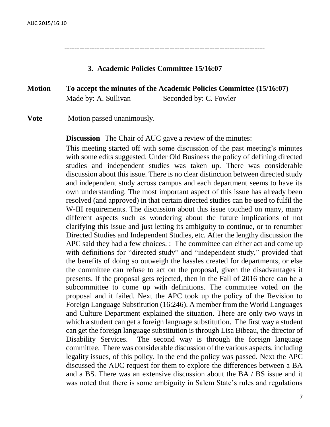--------------------------------------------------------------------------------

#### **3. Academic Policies Committee 15/16:07**

## **Motion To accept the minutes of the Academic Policies Committee (15/16:07)** Made by: A. Sullivan Seconded by: C. Fowler

**Vote** Motion passed unanimously.

**Discussion** The Chair of AUC gave a review of the minutes:

This meeting started off with some discussion of the past meeting's minutes with some edits suggested. Under Old Business the policy of defining directed studies and independent studies was taken up. There was considerable discussion about this issue. There is no clear distinction between directed study and independent study across campus and each department seems to have its own understanding. The most important aspect of this issue has already been resolved (and approved) in that certain directed studies can be used to fulfil the W-III requirements. The discussion about this issue touched on many, many different aspects such as wondering about the future implications of not clarifying this issue and just letting its ambiguity to continue, or to renumber Directed Studies and Independent Studies, etc. After the lengthy discussion the APC said they had a few choices. : The committee can either act and come up with definitions for "directed study" and "independent study," provided that the benefits of doing so outweigh the hassles created for departments, or else the committee can refuse to act on the proposal, given the disadvantages it presents. If the proposal gets rejected, then in the Fall of 2016 there can be a subcommittee to come up with definitions. The committee voted on the proposal and it failed. Next the APC took up the policy of the Revision to Foreign Language Substitution (16:246). A member from the World Languages and Culture Department explained the situation. There are only two ways in which a student can get a foreign language substitution. The first way a student can get the foreign language substitution is through Lisa Bibeau, the director of Disability Services. The second way is through the foreign language committee. There was considerable discussion of the various aspects, including legality issues, of this policy. In the end the policy was passed. Next the APC discussed the AUC request for them to explore the differences between a BA and a BS. There was an extensive discussion about the BA / BS issue and it was noted that there is some ambiguity in Salem State's rules and regulations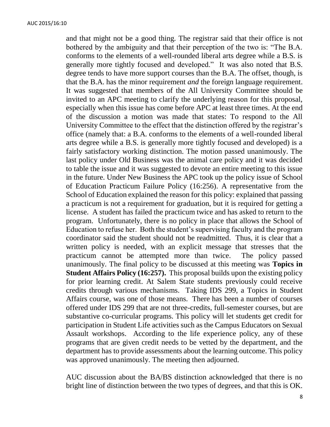and that might not be a good thing. The registrar said that their office is not bothered by the ambiguity and that their perception of the two is: "The B.A. conforms to the elements of a well-rounded liberal arts degree while a B.S. is generally more tightly focused and developed." It was also noted that B.S. degree tends to have more support courses than the B.A. The offset, though, is that the B.A. has the minor requirement *and* the foreign language requirement. It was suggested that members of the All University Committee should be invited to an APC meeting to clarify the underlying reason for this proposal, especially when this issue has come before APC at least three times. At the end of the discussion a motion was made that states: To respond to the All University Committee to the effect that the distinction offered by the registrar's office (namely that: a B.A. conforms to the elements of a well-rounded liberal arts degree while a B.S. is generally more tightly focused and developed) is a fairly satisfactory working distinction. The motion passed unanimously. The last policy under Old Business was the animal care policy and it was decided to table the issue and it was suggested to devote an entire meeting to this issue in the future. Under New Business the APC took up the policy issue of School of Education Practicum Failure Policy (16:256). A representative from the School of Education explained the reason for this policy: explained that passing a practicum is not a requirement for graduation, but it is required for getting a license. A student has failed the practicum twice and has asked to return to the program. Unfortunately, there is no policy in place that allows the School of Education to refuse her. Both the student's supervising faculty and the program coordinator said the student should not be readmitted. Thus, it is clear that a written policy is needed, with an explicit message that stresses that the practicum cannot be attempted more than twice. The policy passed unanimously. The final policy to be discussed at this meeting was **Topics in Student Affairs Policy (16:257).** This proposal builds upon the existing policy for prior learning credit. At Salem State students previously could receive credits through various mechanisms. Taking IDS 299, a Topics in Student Affairs course, was one of those means. There has been a number of courses offered under IDS 299 that are not three-credits, full-semester courses, but are substantive co-curricular programs. This policy will let students get credit for participation in Student Life activities such as the Campus Educators on Sexual Assault workshops. According to the life experience policy, any of these programs that are given credit needs to be vetted by the department, and the department has to provide assessments about the learning outcome. This policy was approved unanimously. The meeting then adjourned.

AUC discussion about the BA/BS distinction acknowledged that there is no bright line of distinction between the two types of degrees, and that this is OK.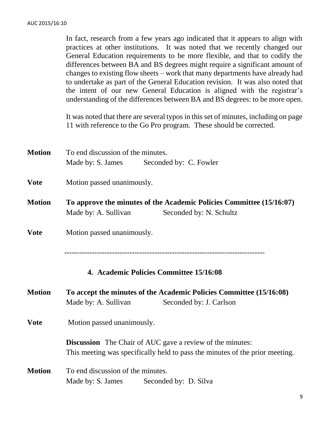In fact, research from a few years ago indicated that it appears to align with practices at other institutions. It was noted that we recently changed our General Education requirements to be more flexible, and that to codify the differences between BA and BS degrees might require a significant amount of changes to existing flow sheets – work that many departments have already had to undertake as part of the General Education revision. It was also noted that the intent of our new General Education is aligned with the registrar's understanding of the differences between BA and BS degrees: to be more open.

It was noted that there are several typos in this set of minutes, including on page 11 with reference to the Go Pro program. These should be corrected.

| <b>Motion</b> | To end discussion of the minutes.                                            |  |  |  |  |
|---------------|------------------------------------------------------------------------------|--|--|--|--|
|               | Made by: S. James Seconded by: C. Fowler                                     |  |  |  |  |
|               |                                                                              |  |  |  |  |
| <b>Vote</b>   | Motion passed unanimously.                                                   |  |  |  |  |
|               |                                                                              |  |  |  |  |
| <b>Motion</b> | To approve the minutes of the Academic Policies Committee (15/16:07)         |  |  |  |  |
|               | Made by: A. Sullivan<br>Seconded by: N. Schultz                              |  |  |  |  |
| <b>Vote</b>   | Motion passed unanimously.                                                   |  |  |  |  |
|               |                                                                              |  |  |  |  |
|               |                                                                              |  |  |  |  |
|               |                                                                              |  |  |  |  |
|               | 4. Academic Policies Committee 15/16:08                                      |  |  |  |  |
| <b>Motion</b> | To accept the minutes of the Academic Policies Committee (15/16:08)          |  |  |  |  |
|               | Seconded by: J. Carlson<br>Made by: A. Sullivan                              |  |  |  |  |
| <b>Vote</b>   | Motion passed unanimously.                                                   |  |  |  |  |
|               |                                                                              |  |  |  |  |
|               | <b>Discussion</b> The Chair of AUC gave a review of the minutes:             |  |  |  |  |
|               | This meeting was specifically held to pass the minutes of the prior meeting. |  |  |  |  |
| <b>Motion</b> | To end discussion of the minutes.                                            |  |  |  |  |
|               | Made by: S. James<br>Seconded by: D. Silva                                   |  |  |  |  |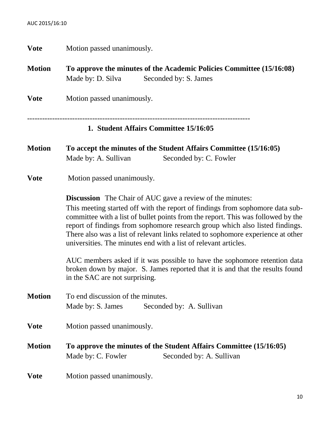**Vote** Motion passed unanimously.

**Motion To approve the minutes of the Academic Policies Committee (15/16:08)**  Made by: D. Silva Seconded by: S. James **Vote** Motion passed unanimously. ----------------------------------------------------------------------------------------- **1. Student Affairs Committee 15/16:05 Motion To accept the minutes of the Student Affairs Committee (15/16:05)** Made by: A. Sullivan Seconded by: C. Fowler **Vote** Motion passed unanimously. **Discussion** The Chair of AUC gave a review of the minutes: This meeting started off with the report of findings from sophomore data subcommittee with a list of bullet points from the report. This was followed by the report of findings from sophomore research group which also listed findings. There also was a list of relevant links related to sophomore experience at other universities. The minutes end with a list of relevant articles. AUC members asked if it was possible to have the sophomore retention data broken down by major. S. James reported that it is and that the results found in the SAC are not surprising. **Motion** To end discussion of the minutes. Made by: S. James Seconded by: A. Sullivan **Vote** Motion passed unanimously. **Motion To approve the minutes of the Student Affairs Committee (15/16:05)**  Made by: C. Fowler Seconded by: A. Sullivan **Vote** Motion passed unanimously.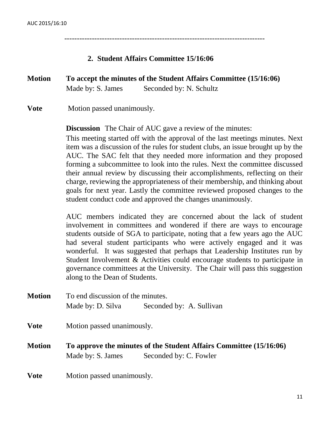--------------------------------------------------------------------------------

#### **2. Student Affairs Committee 15/16:06**

# **Motion To accept the minutes of the Student Affairs Committee (15/16:06)** Made by: S. James Seconded by: N. Schultz

**Vote** Motion passed unanimously.

**Discussion** The Chair of AUC gave a review of the minutes:

This meeting started off with the approval of the last meetings minutes. Next item was a discussion of the rules for student clubs, an issue brought up by the AUC. The SAC felt that they needed more information and they proposed forming a subcommittee to look into the rules. Next the committee discussed their annual review by discussing their accomplishments, reflecting on their charge, reviewing the appropriateness of their membership, and thinking about goals for next year. Lastly the committee reviewed proposed changes to the student conduct code and approved the changes unanimously.

AUC members indicated they are concerned about the lack of student involvement in committees and wondered if there are ways to encourage students outside of SGA to participate, noting that a few years ago the AUC had several student participants who were actively engaged and it was wonderful. It was suggested that perhaps that Leadership Institutes run by Student Involvement & Activities could encourage students to participate in governance committees at the University. The Chair will pass this suggestion along to the Dean of Students.

**Motion** To end discussion of the minutes. Made by: D. Silva Seconded by: A. Sullivan **Vote** Motion passed unanimously. **Motion To approve the minutes of the Student Affairs Committee (15/16:06)**  Made by: S. James Seconded by: C. Fowler

**Vote** Motion passed unanimously.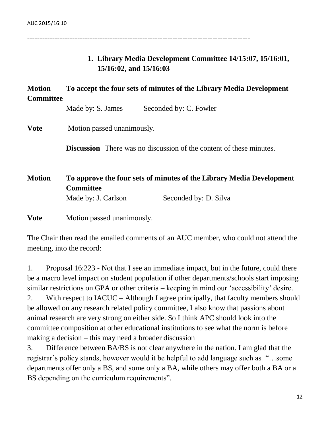-----------------------------------------------------------------------------------------

## **1. Library Media Development Committee 14/15:07, 15/16:01, 15/16:02, and 15/16:03**

## **Motion To accept the four sets of minutes of the Library Media Development Committee**

Made by: S. James Seconded by: C. Fowler

**Vote** Motion passed unanimously.

**Discussion** There was no discussion of the content of these minutes.

**Motion To approve the four sets of minutes of the Library Media Development Committee** Made by: J. Carlson Seconded by: D. Silva

**Vote** Motion passed unanimously.

The Chair then read the emailed comments of an AUC member, who could not attend the meeting, into the record:

1. Proposal 16:223 - Not that I see an immediate impact, but in the future, could there be a macro level impact on student population if other departments/schools start imposing similar restrictions on GPA or other criteria – keeping in mind our 'accessibility' desire. 2. With respect to IACUC – Although I agree principally, that faculty members should be allowed on any research related policy committee, I also know that passions about animal research are very strong on either side. So I think APC should look into the committee composition at other educational institutions to see what the norm is before making a decision – this may need a broader discussion

3. Difference between BA/BS is not clear anywhere in the nation. I am glad that the registrar's policy stands, however would it be helpful to add language such as "…some departments offer only a BS, and some only a BA, while others may offer both a BA or a BS depending on the curriculum requirements".